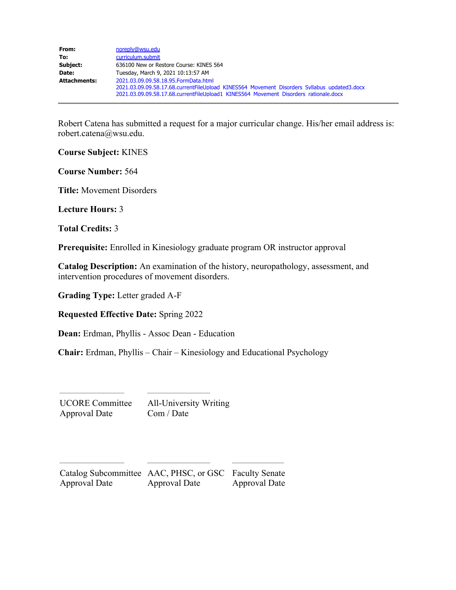| From:               | noreply@wsu.edu                                                                             |  |  |
|---------------------|---------------------------------------------------------------------------------------------|--|--|
| To:                 | curriculum.submit                                                                           |  |  |
| Subject:            | 636100 New or Restore Course: KINES 564                                                     |  |  |
| Date:               | Tuesday, March 9, 2021 10:13:57 AM                                                          |  |  |
| <b>Attachments:</b> | 2021.03.09.09.58.18.95. Form Data.html                                                      |  |  |
|                     | 2021.03.09.09.58.17.68.currentFileUpload KINES564 Movement Disorders Syllabus updated3.docx |  |  |
|                     | 2021.03.09.09.58.17.68.currentFileUpload1_KINES564_Movement_Disorders_rationale.docx        |  |  |

Robert Catena has submitted a request for a major curricular change. His/her email address is: robert.catena@wsu.edu.

**Course Subject:** KINES

**Course Number:** 564

**Title:** Movement Disorders

**Lecture Hours:** 3

**Total Credits:** 3

**Prerequisite:** Enrolled in Kinesiology graduate program OR instructor approval

**Catalog Description:** An examination of the history, neuropathology, assessment, and intervention procedures of movement disorders.

**Grading Type:** Letter graded A-F

**Requested Effective Date:** Spring 2022

**Dean:** Erdman, Phyllis - Assoc Dean - Education

**Chair:** Erdman, Phyllis – Chair – Kinesiology and Educational Psychology

UCORE Committee Approval Date

All-University Writing Com / Date

| Catalog Subcommittee AAC, PHSC, or GSC Faculty Senate |               |                      |
|-------------------------------------------------------|---------------|----------------------|
| Approval Date                                         | Approval Date | <b>Approval Date</b> |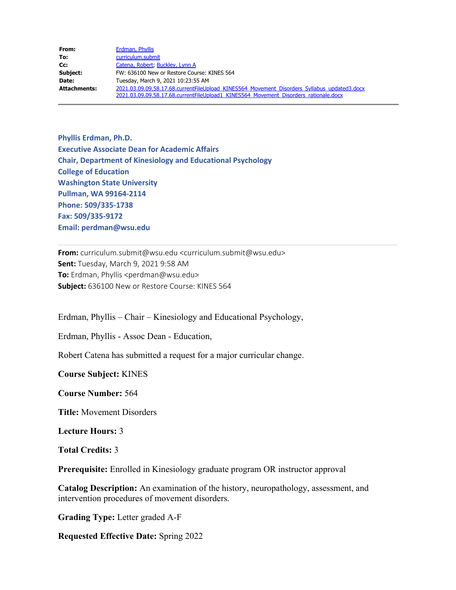| From:               | Erdman, Phyllis                                                                             |  |  |
|---------------------|---------------------------------------------------------------------------------------------|--|--|
| To:                 | curriculum.submit                                                                           |  |  |
| Cc:                 | Catena, Robert, Buckley, Lynn A                                                             |  |  |
| Subject:            | FW: 636100 New or Restore Course: KINES 564                                                 |  |  |
| Date:               | Tuesday, March 9, 2021 10:23:55 AM                                                          |  |  |
| <b>Attachments:</b> | 2021.03.09.09.58.17.68.currentFileUpload KINES564 Movement Disorders Syllabus updated3.docx |  |  |
|                     | 2021.03.09.09.58.17.68.currentFileUpload1_KINES564_Movement_Disorders_rationale.docx        |  |  |

**Phyllis Erdman, Ph.D. Executive Associate Dean for Academic Affairs Chair, Department of Kinesiology and Educational Psychology College of Education Washington State University Pullman, WA 99164-2114 Phone: 509/335-1738 Fax: 509/335-9172 Email: perdman@wsu.edu**

**From:** curriculum.submit@wsu.edu <curriculum.submit@wsu.edu> **Sent:** Tuesday, March 9, 2021 9:58 AM **To:** Erdman, Phyllis <perdman@wsu.edu> **Subject:** 636100 New or Restore Course: KINES 564

Erdman, Phyllis – Chair – Kinesiology and Educational Psychology,

Erdman, Phyllis - Assoc Dean - Education,

Robert Catena has submitted a request for a major curricular change.

**Course Subject:** KINES

**Course Number:** 564

**Title:** Movement Disorders

**Lecture Hours:** 3

**Total Credits:** 3

**Prerequisite:** Enrolled in Kinesiology graduate program OR instructor approval

**Catalog Description:** An examination of the history, neuropathology, assessment, and intervention procedures of movement disorders.

**Grading Type:** Letter graded A-F

**Requested Effective Date:** Spring 2022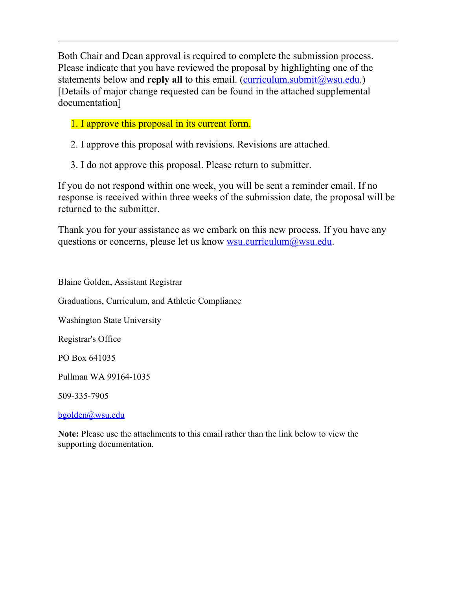Both Chair and Dean approval is required to complete the submission process. Please indicate that you have reviewed the proposal by highlighting one of the statements below and **reply all** to this email. [\(curriculum.submit@wsu.edu](file:////c/curriculum.submit@wsu.edu).) [Details of major change requested can be found in the attached supplemental documentation]

# 1. I approve this proposal in its current form.

2. I approve this proposal with revisions. Revisions are attached.

3. I do not approve this proposal. Please return to submitter.

If you do not respond within one week, you will be sent a reminder email. If no response is received within three weeks of the submission date, the proposal will be returned to the submitter.

Thank you for your assistance as we embark on this new process. If you have any questions or concerns, please let us know <u>wsu.curriculum@wsu.edu</u>.

Blaine Golden, Assistant Registrar Graduations, Curriculum, and Athletic Compliance Washington State University Registrar's Office PO Box 641035 Pullman WA 99164-1035 509-335-7905

[bgolden@wsu.edu](mailto:bgolden@wsu.edu)

**Note:** Please use the attachments to this email rather than the link below to view the supporting documentation.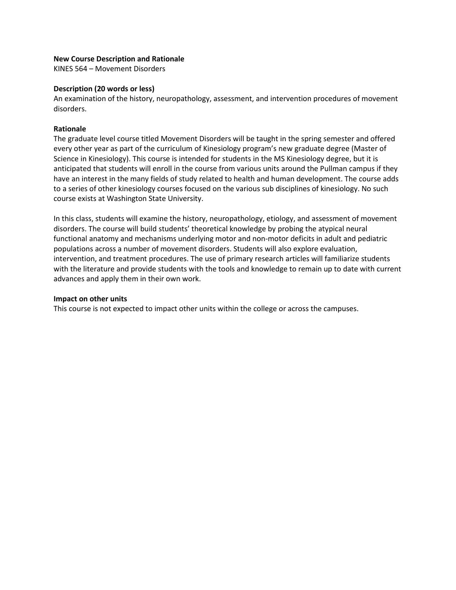### **New Course Description and Rationale**

KINES 564 – Movement Disorders

### **Description (20 words or less)**

An examination of the history, neuropathology, assessment, and intervention procedures of movement disorders.

# **Rationale**

The graduate level course titled Movement Disorders will be taught in the spring semester and offered every other year as part of the curriculum of Kinesiology program's new graduate degree (Master of Science in Kinesiology). This course is intended for students in the MS Kinesiology degree, but it is anticipated that students will enroll in the course from various units around the Pullman campus if they have an interest in the many fields of study related to health and human development. The course adds to a series of other kinesiology courses focused on the various sub disciplines of kinesiology. No such course exists at Washington State University.

In this class, students will examine the history, neuropathology, etiology, and assessment of movement disorders. The course will build students' theoretical knowledge by probing the atypical neural functional anatomy and mechanisms underlying motor and non-motor deficits in adult and pediatric populations across a number of movement disorders. Students will also explore evaluation, intervention, and treatment procedures. The use of primary research articles will familiarize students with the literature and provide students with the tools and knowledge to remain up to date with current advances and apply them in their own work.

# **Impact on other units**

This course is not expected to impact other units within the college or across the campuses.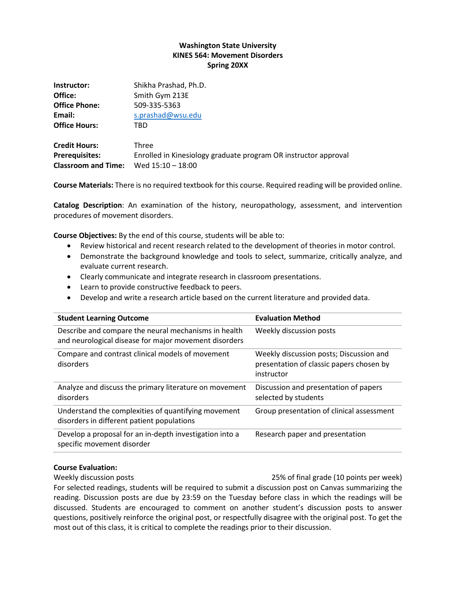# **Washington State University KINES 564: Movement Disorders Spring 20XX**

| Instructor:                | Shikha Prashad, Ph.D.                                           |
|----------------------------|-----------------------------------------------------------------|
| Office:                    | Smith Gym 213E                                                  |
| <b>Office Phone:</b>       | 509-335-5363                                                    |
| Email:                     | s.prashad@wsu.edu                                               |
| <b>Office Hours:</b>       | TBD                                                             |
| <b>Credit Hours:</b>       | Three                                                           |
| <b>Prerequisites:</b>      | Enrolled in Kinesiology graduate program OR instructor approval |
| <b>Classroom and Time:</b> | Wed 15:10 - 18:00                                               |

**Course Materials:** There is no required textbook for this course. Required reading will be provided online.

**Catalog Description**: An examination of the history, neuropathology, assessment, and intervention procedures of movement disorders.

**Course Objectives:** By the end of this course, students will be able to:

- Review historical and recent research related to the development of theories in motor control.
- Demonstrate the background knowledge and tools to select, summarize, critically analyze, and evaluate current research.
- Clearly communicate and integrate research in classroom presentations.
- Learn to provide constructive feedback to peers.
- Develop and write a research article based on the current literature and provided data.

| <b>Student Learning Outcome</b>                                                                               | <b>Evaluation Method</b>                                                                          |
|---------------------------------------------------------------------------------------------------------------|---------------------------------------------------------------------------------------------------|
| Describe and compare the neural mechanisms in health<br>and neurological disease for major movement disorders | Weekly discussion posts                                                                           |
| Compare and contrast clinical models of movement<br>disorders                                                 | Weekly discussion posts; Discussion and<br>presentation of classic papers chosen by<br>instructor |
| Analyze and discuss the primary literature on movement<br>disorders                                           | Discussion and presentation of papers<br>selected by students                                     |
| Understand the complexities of quantifying movement<br>disorders in different patient populations             | Group presentation of clinical assessment                                                         |
| Develop a proposal for an in-depth investigation into a<br>specific movement disorder                         | Research paper and presentation                                                                   |

# **Course Evaluation:**

Weekly discussion posts 25% of final grade (10 points per week) For selected readings, students will be required to submit a discussion post on Canvas summarizing the reading. Discussion posts are due by 23:59 on the Tuesday before class in which the readings will be discussed. Students are encouraged to comment on another student's discussion posts to answer questions, positively reinforce the original post, or respectfully disagree with the original post. To get the most out of this class, it is critical to complete the readings prior to their discussion.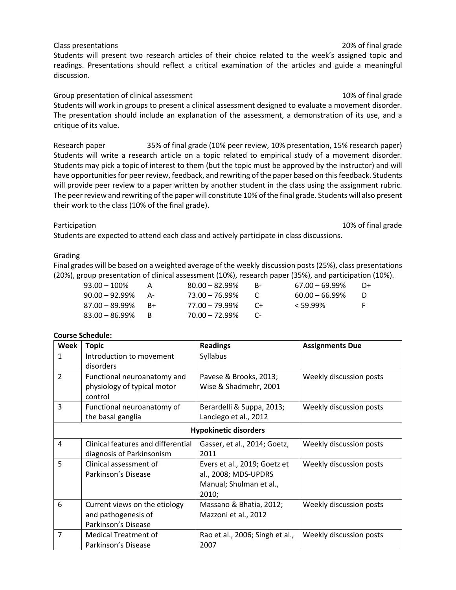Class presentations 20% of final grade Students will present two research articles of their choice related to the week's assigned topic and readings. Presentations should reflect a critical examination of the articles and guide a meaningful discussion.

Group presentation of clinical assessment and the state of the 10% of final grade Students will work in groups to present a clinical assessment designed to evaluate a movement disorder. The presentation should include an explanation of the assessment, a demonstration of its use, and a critique of its value.

Research paper 35% of final grade (10% peer review, 10% presentation, 15% research paper) Students will write a research article on a topic related to empirical study of a movement disorder. Students may pick a topic of interest to them (but the topic must be approved by the instructor) and will have opportunities for peer review, feedback, and rewriting of the paper based on this feedback. Students will provide peer review to a paper written by another student in the class using the assignment rubric. The peer review and rewriting of the paper will constitute 10% of the final grade. Students will also present their work to the class (10% of the final grade).

Students are expected to attend each class and actively participate in class discussions.

# Grading

Final grades will be based on a weighted average of the weekly discussion posts (25%), class presentations (20%), group presentation of clinical assessment (10%), research paper (35%), and participation (10%).

| $93.00 - 100\%$      |      | $80.00 - 82.99\%$    | <b>B-</b>  | $67.00 - 69.99\%$ | D+ |
|----------------------|------|----------------------|------------|-------------------|----|
| $90.00 - 92.99\%$ A- |      | 73.00 – 76.99%       |            | $60.00 - 66.99\%$ |    |
| $87.00 - 89.99\%$ B+ |      | 77.00 – 79.99%       | $\sqrt{+}$ | $< 59.99\%$       | E. |
| $83.00 - 86.99\%$    | — н. | $70.00 - 72.99\%$ C- |            |                   |    |

# **Course Schedule:**

| Week                         | <b>Topic</b>                       | <b>Readings</b>                 | <b>Assignments Due</b>  |  |
|------------------------------|------------------------------------|---------------------------------|-------------------------|--|
| $\mathbf{1}$                 | Introduction to movement           | Syllabus                        |                         |  |
|                              | disorders                          |                                 |                         |  |
| $\overline{2}$               | Functional neuroanatomy and        | Pavese & Brooks, 2013;          | Weekly discussion posts |  |
|                              | physiology of typical motor        | Wise & Shadmehr, 2001           |                         |  |
|                              | control                            |                                 |                         |  |
| 3                            | Functional neuroanatomy of         | Berardelli & Suppa, 2013;       | Weekly discussion posts |  |
|                              | the basal ganglia                  | Lanciego et al., 2012           |                         |  |
| <b>Hypokinetic disorders</b> |                                    |                                 |                         |  |
| $\overline{a}$               | Clinical features and differential | Gasser, et al., 2014; Goetz,    | Weekly discussion posts |  |
|                              | diagnosis of Parkinsonism          | 2011                            |                         |  |
| 5                            | Clinical assessment of             | Evers et al., 2019; Goetz et    | Weekly discussion posts |  |
|                              | Parkinson's Disease                | al., 2008; MDS-UPDRS            |                         |  |
|                              |                                    | Manual; Shulman et al.,         |                         |  |
|                              |                                    | 2010;                           |                         |  |
| 6                            | Current views on the etiology      | Massano & Bhatia, 2012;         | Weekly discussion posts |  |
|                              | and pathogenesis of                | Mazzoni et al., 2012            |                         |  |
|                              | Parkinson's Disease                |                                 |                         |  |
| $\overline{7}$               | <b>Medical Treatment of</b>        | Rao et al., 2006; Singh et al., | Weekly discussion posts |  |
|                              | Parkinson's Disease                | 2007                            |                         |  |

Participation 10% of final grade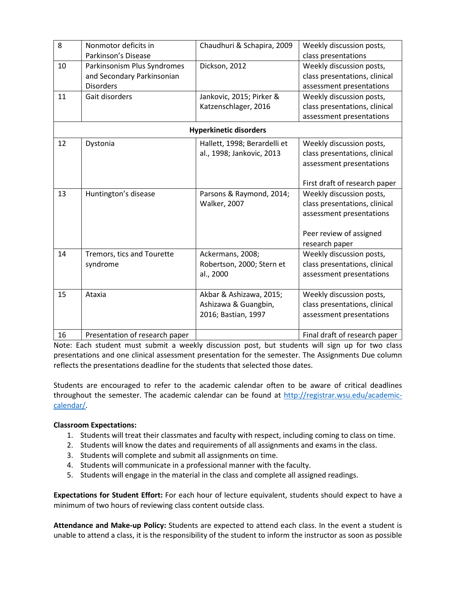| 8  | Nonmotor deficits in           | Chaudhuri & Schapira, 2009    | Weekly discussion posts,      |
|----|--------------------------------|-------------------------------|-------------------------------|
|    | Parkinson's Disease            |                               | class presentations           |
| 10 | Parkinsonism Plus Syndromes    | Dickson, 2012                 | Weekly discussion posts,      |
|    | and Secondary Parkinsonian     |                               | class presentations, clinical |
|    | <b>Disorders</b>               |                               | assessment presentations      |
| 11 | Gait disorders                 | Jankovic, 2015; Pirker &      | Weekly discussion posts,      |
|    |                                | Katzenschlager, 2016          | class presentations, clinical |
|    |                                |                               | assessment presentations      |
|    |                                | <b>Hyperkinetic disorders</b> |                               |
| 12 | Dystonia                       | Hallett, 1998; Berardelli et  | Weekly discussion posts,      |
|    |                                | al., 1998; Jankovic, 2013     | class presentations, clinical |
|    |                                |                               | assessment presentations      |
|    |                                |                               |                               |
|    |                                |                               | First draft of research paper |
| 13 | Huntington's disease           | Parsons & Raymond, 2014;      | Weekly discussion posts,      |
|    |                                | <b>Walker, 2007</b>           | class presentations, clinical |
|    |                                |                               | assessment presentations      |
|    |                                |                               |                               |
|    |                                |                               | Peer review of assigned       |
|    |                                |                               | research paper                |
| 14 | Tremors, tics and Tourette     | Ackermans, 2008;              | Weekly discussion posts,      |
|    | syndrome                       | Robertson, 2000; Stern et     | class presentations, clinical |
|    |                                | al., 2000                     | assessment presentations      |
|    |                                |                               |                               |
| 15 | Ataxia                         | Akbar & Ashizawa, 2015;       | Weekly discussion posts,      |
|    |                                | Ashizawa & Guangbin,          | class presentations, clinical |
|    |                                | 2016; Bastian, 1997           | assessment presentations      |
|    |                                |                               |                               |
| 16 | Presentation of research paper |                               | Final draft of research paper |

Note: Each student must submit a weekly discussion post, but students will sign up for two class presentations and one clinical assessment presentation for the semester. The Assignments Due column reflects the presentations deadline for the students that selected those dates.

Students are encouraged to refer to the academic calendar often to be aware of critical deadlines throughout the semester. The academic calendar can be found at [http://registrar.wsu.edu/academic](http://registrar.wsu.edu/academic-calendar/)[calendar/.](http://registrar.wsu.edu/academic-calendar/)

# **Classroom Expectations:**

- 1. Students will treat their classmates and faculty with respect, including coming to class on time.
- 2. Students will know the dates and requirements of all assignments and exams in the class.
- 3. Students will complete and submit all assignments on time.
- 4. Students will communicate in a professional manner with the faculty.
- 5. Students will engage in the material in the class and complete all assigned readings.

**Expectations for Student Effort:** For each hour of lecture equivalent, students should expect to have a minimum of two hours of reviewing class content outside class.

**Attendance and Make-up Policy:** Students are expected to attend each class. In the event a student is unable to attend a class, it is the responsibility of the student to inform the instructor as soon as possible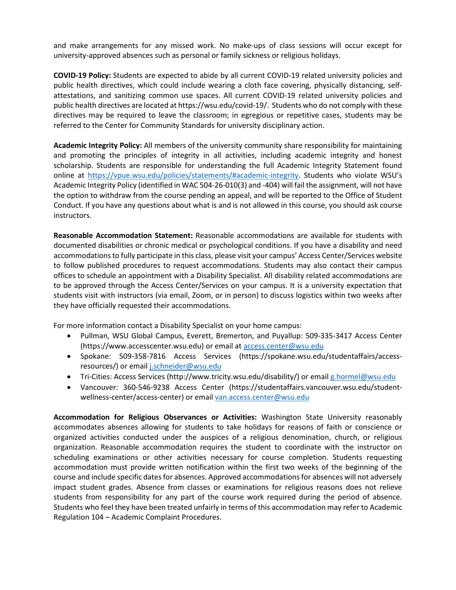and make arrangements for any missed work. No make-ups of class sessions will occur except for university-approved absences such as personal or family sickness or religious holidays.

**COVID-19 Policy:** Students are expected to abide by all current COVID-19 related university policies and public health directives, which could include wearing a cloth face covering, physically distancing, selfattestations, and sanitizing common use spaces. All current COVID-19 related university policies and public health directives are located at https://wsu.edu/covid-19/. Students who do not comply with these directives may be required to leave the classroom; in egregious or repetitive cases, students may be referred to the Center for Community Standards for university disciplinary action.

**Academic Integrity Policy:** All members of the university community share responsibility for maintaining and promoting the principles of integrity in all activities, including academic integrity and honest scholarship. Students are responsible for understanding the full Academic Integrity Statement found online at [https://vpue.wsu.edu/policies/statements/#academic-integrity.](https://vpue.wsu.edu/policies/statements/#academic-integrity) Students who violate WSU's Academic Integrity Policy (identified in WAC 504-26-010(3) and -404) will fail the assignment, will not have the option to withdraw from the course pending an appeal, and will be reported to the Office of Student Conduct. If you have any questions about what is and is not allowed in this course, you should ask course instructors.

**Reasonable Accommodation Statement:** Reasonable accommodations are available for students with documented disabilities or chronic medical or psychological conditions. If you have a disability and need accommodations to fully participate in this class, please visit your campus' Access Center/Services website to follow published procedures to request accommodations. Students may also contact their campus offices to schedule an appointment with a Disability Specialist. All disability related accommodations are to be approved through the Access Center/Services on your campus. It is a university expectation that students visit with instructors (via email, Zoom, or in person) to discuss logistics within two weeks after they have officially requested their accommodations.

For more information contact a Disability Specialist on your home campus:

- Pullman, WSU Global Campus, Everett, Bremerton, and Puyallup: 509-335-3417 Access Center (https://www.accesscenter.wsu.edu) or email at [access.center@wsu.edu](mailto:access.center@wsu.edu)
- Spokane: 509-358-7816 Access Services (https://spokane.wsu.edu/studentaffairs/accessresources/) or emai[l j.schneider@wsu.edu](mailto:j.schneider@wsu.edu)
- Tri-Cities: Access Services (http://www.tricity.wsu.edu/disability/) or email [g.hormel@wsu.edu](mailto:g.hormel@wsu.edu)
- Vancouver: 360-546-9238 Access Center (https://studentaffairs.vancouver.wsu.edu/studentwellness-center/access-center) or emai[l van.access.center@wsu.edu](mailto:van.access.center@wsu.edu)

**Accommodation for Religious Observances or Activities:** Washington State University reasonably accommodates absences allowing for students to take holidays for reasons of faith or conscience or organized activities conducted under the auspices of a religious denomination, church, or religious organization. Reasonable accommodation requires the student to coordinate with the instructor on scheduling examinations or other activities necessary for course completion. Students requesting accommodation must provide written notification within the first two weeks of the beginning of the course and include specific dates for absences. Approved accommodations for absences will not adversely impact student grades. Absence from classes or examinations for religious reasons does not relieve students from responsibility for any part of the course work required during the period of absence. Students who feel they have been treated unfairly in terms of this accommodation may refer to Academic Regulation 104 – Academic Complaint Procedures.